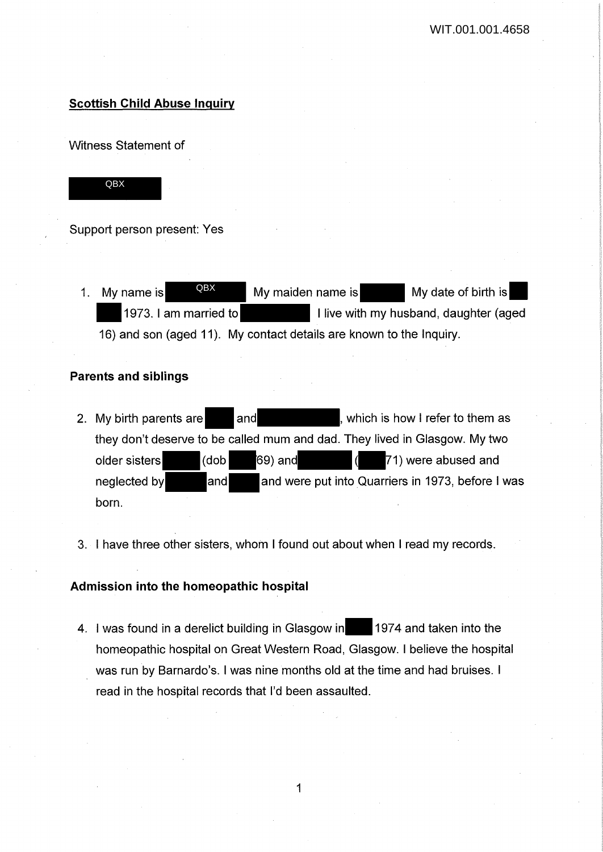# **Scottish Child Abuse Inquiry**

Witness Statement of



Support person present: Yes

1. My name is  $R_{\text{B}}$  My maiden name is My date of birth is 1973. I am married to **I live with my husband, daughter (aged**) 16) and son (aged 11). My contact details are known to the Inquiry. QBX

## **Parents and siblings**

- 2. My birth parents are and and , which is how I refer to them as they don't deserve to be called mum and dad. They lived in Glasgow. My two older sisters (dob 69) and ( 71) were abused and neglected by **and** and were put into Quarriers in 1973, before I was born.
- 3. I have three other sisters, whom I found out about when I read my records.

# **Admission into the homeopathic hospital**

4. I was found in a derelict building in Glasgow in 1974 and taken into the homeopathic hospital on Great Western Road, Glasgow. I believe the hospital was run by Barnardo's. I was nine months old at the time and had bruises. I read in the hospital records that I'd been assaulted.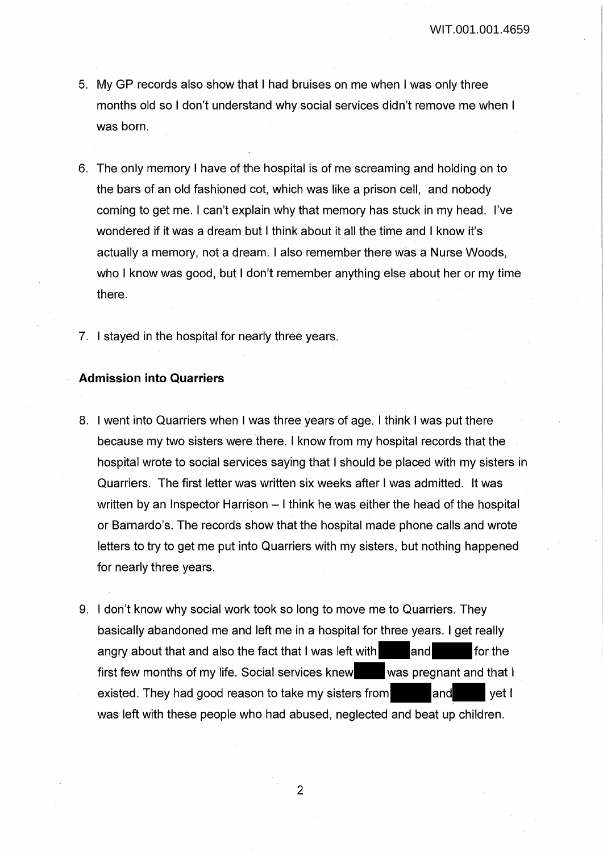- 5. My GP records also show that I had bruises on me when I was only three months old so I don't understand why social services didn't remove me when I was born.
- 6. The only memory I have of the hospital is of me screaming and holding on to the bars of an old fashioned cot, which was like a prison cell, and nobody coming to get me. I can't explain why that memory has stuck in my head. I've wondered if it was a dream but I think about it all the time and I know it's actually a memory, not a dream. I also remember there was a Nurse Woods, who I know was good, but I don't remember anything else about her or my time there.
- 7. I stayed in the hospital for nearly three years.

## **Admission into Quarriers**

- 8. I went into Quarriers when I was three years of age. I think I was put there because my two sisters were there. I know from my hospital records that the hospital wrote to social services saying that I should be placed with my sisters in Quarriers. The first letter was written six weeks after I was admitted. It was written by an Inspector Harrison – I think he was either the head of the hospital or Barnardo's. The records show that the hospital made phone calls and wrote letters to try to get me put into Quarriers with my sisters, but nothing happened for nearly three years.
- 9. I don't know why social work took so long to move me to Quarriers. They basically abandoned me and left me in a hospital for three years. I get really angry about that and also the fact that I was left with  $\Box$  and  $\Box$  for the first few months of my life. Social services knew was pregnant and that I existed. They had good reason to take my sisters from and and yet I was left with these people who had abused, neglected and beat up children.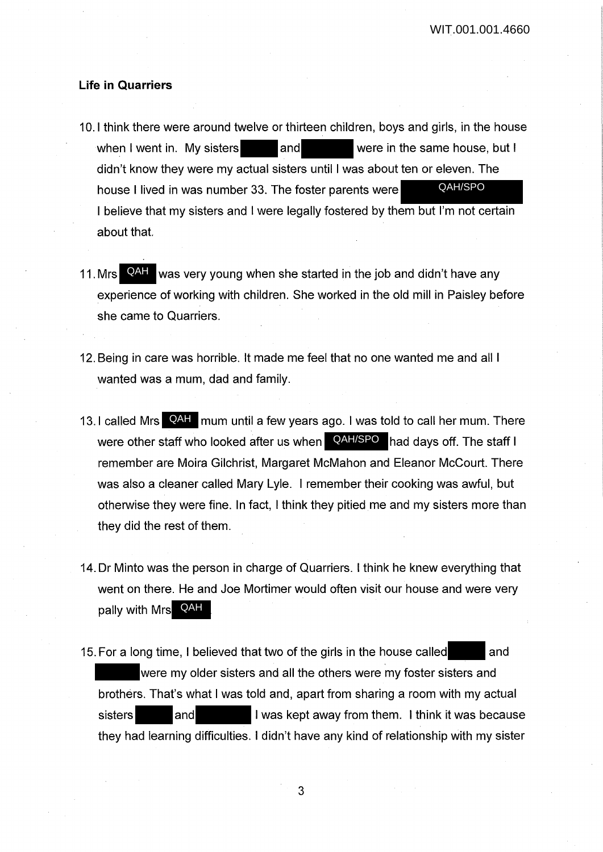## **Life in Quarriers**

- 10. I think there were around twelve or thirteen children, boys and girls, in the house when I went in. My sisters and and were in the same house, but I didn't know they were my actual sisters until I was about ten or eleven. The house I lived in was number 33. The foster parents were I believe that my sisters and I were legally fostered by them but I'm not certain about that. QAH/SPO
- 11. Mrs **QAH** was very young when she started in the job and didn't have any experience of working with children. She worked in the old mill in Paisley before she came to Quarriers.
- 12. Being in care was horrible. It made me feel that no one wanted me and all I wanted was a mum, dad and family.
- 13. I called Mrs **QAH** mum until a few years ago. I was told to call her mum. There were other staff who looked after us when **QAH/SPO** had days off. The staff I remember are Moira Gilchrist, Margaret McMahon and Eleanor Mccourt. There was also a cleaner called Mary Lyle. I remember their cooking was awful, but otherwise they were fine. In fact, I think they pitied me and my sisters more than they did the rest of them.
- 14. Dr Minto was the person in charge of Quarriers. I think he knew everything that went on there. He and Joe Mortimer would often visit our house and were very pally with Mrs QAH
- 15. For a long time, I believed that two of the girls in the house called and were my older sisters and all the others were my foster sisters and brothers. That's what I was told and, apart from sharing a room with my actual sisters and I was kept away from them. I think it was because they had learning difficulties. I didn't have any kind of relationship with my sister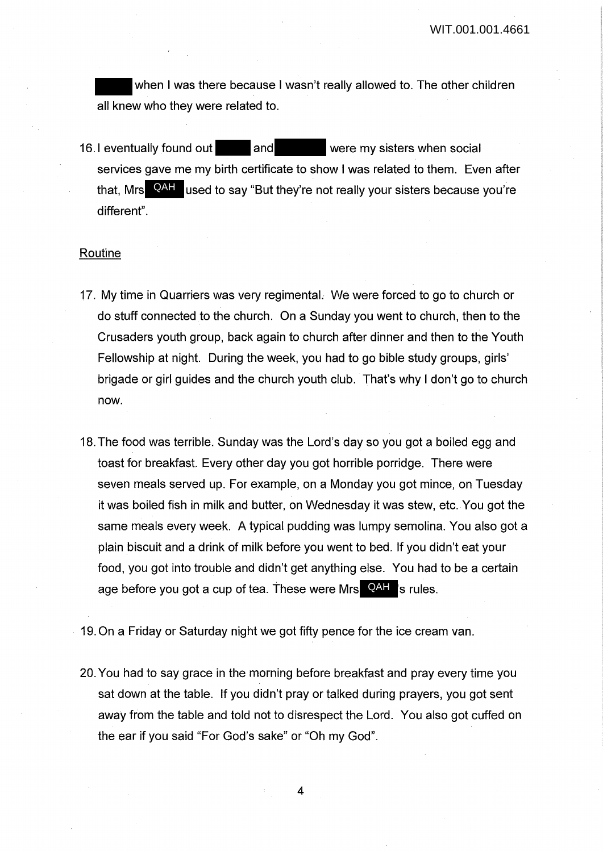when I was there because I wasn't really allowed to. The other children all knew who they were related to.

16.1 eventually found out and were my sisters when social services gave me my birth certificate to show I was related to them. Even after that, Mrs **QAH** used to say "But they're not really your sisters because you're different".

## Routine

- 17. My time in Quarriers was very regimental. We were forced to go to church or do stuff connected to the church. On a Sunday you went to church, then to the Crusaders youth group, back again to church after dinner and then to the Youth Fellowship at night. During the week, you had to go bible study groups, girls' brigade or girl guides and the church youth club. That's why I don't go to church now.
- 18. The food was terrible. Sunday was the Lord's day so you got a boiled egg and toast for breakfast. Every other day you got horrible porridge. There were seven meals served up. For example, on a Monday you got mince, on Tuesday it was boiled fish in milk and butter, on Wednesday it was stew, etc. You got the same meals every week. A typical pudding was lumpy semolina. You also got a plain biscuit and a drink of milk before you went to bed. If you didn't eat your food, you got into trouble and didn't get anything else. You had to be a certain age before you got a cup of tea. These were Mrs **QAH** 's rules.
- 19. On a Friday or Saturday night we got fifty pence for the ice cream van.
- 20. You had to say grace in the morning before breakfast and pray every time you sat down at the table. If you didn't pray or talked during prayers, you got sent away from the table and told not to disrespect the Lord. You also got cuffed on the ear if you said "For God's sake" or "Oh my God".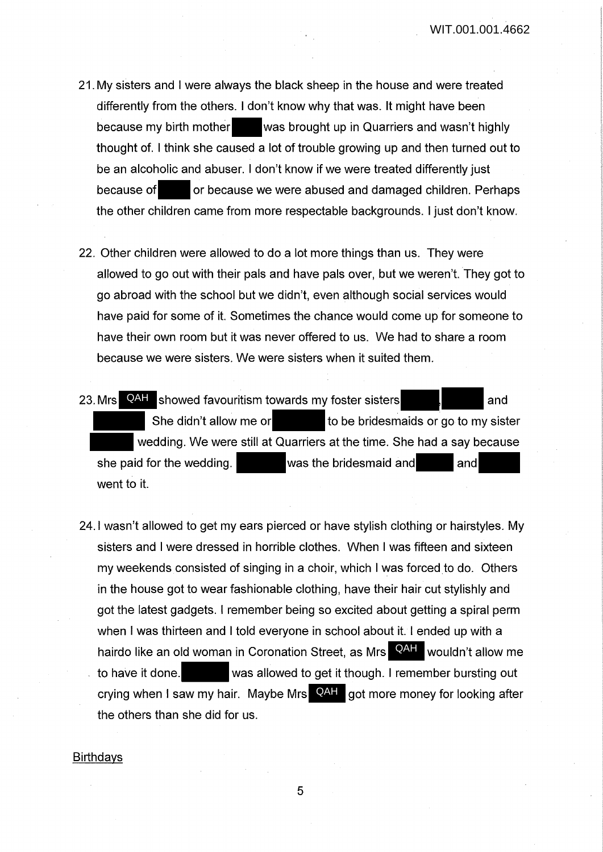- 21 . My sisters and I were always the black sheep in the house and were treated differently from the others. I don't know why that was. It might have been because my birth mother was brought up in Quarriers and wasn't highly thought of. I think she caused a lot of trouble growing up and then turned out to be an alcoholic and abuser. I don't know if we were treated differently just because of or because we were abused and damaged children. Perhaps the other children came from more respectable backgrounds. I just don't know.
- 22. Other children were allowed to do a lot more things than us. They were allowed to go out with their pals and have pals over, but we weren't. They got to go abroad with the school but we didn't, even although social services would have paid for some of it. Sometimes the chance would come up for someone to have their own room but it was never offered to us. We had to share a room because we were sisters. We were sisters when it suited them.
- 23. Mrs QAH showed favouritism towards my foster sisters **and** and She didn't allow me or to be bridesmaids or go to my sister wedding. We were still at Quarriers at the time. She had a say because she paid for the wedding. Was the bridesmaid and and and went to it.
- 24.1 wasn't allowed to get my ears pierced or have stylish clothing or hairstyles. My sisters and I were dressed in horrible clothes. When I was fifteen and sixteen my weekends consisted of singing in a choir, which I was forced to do. Others in the house got to wear fashionable clothing, have their hair cut stylishly and got the latest gadgets. I remember being so excited about getting a spiral perm when I was thirteen and I told everyone in school about it. I ended up with a hairdo like an old woman in Coronation Street, as Mrs QAH wouldn't allow me to have it done. was allowed to get it though. I remember bursting out crying when I saw my hair. Maybe Mrs **QAH** got more money for looking after the others than she did for us.

#### **Birthdays**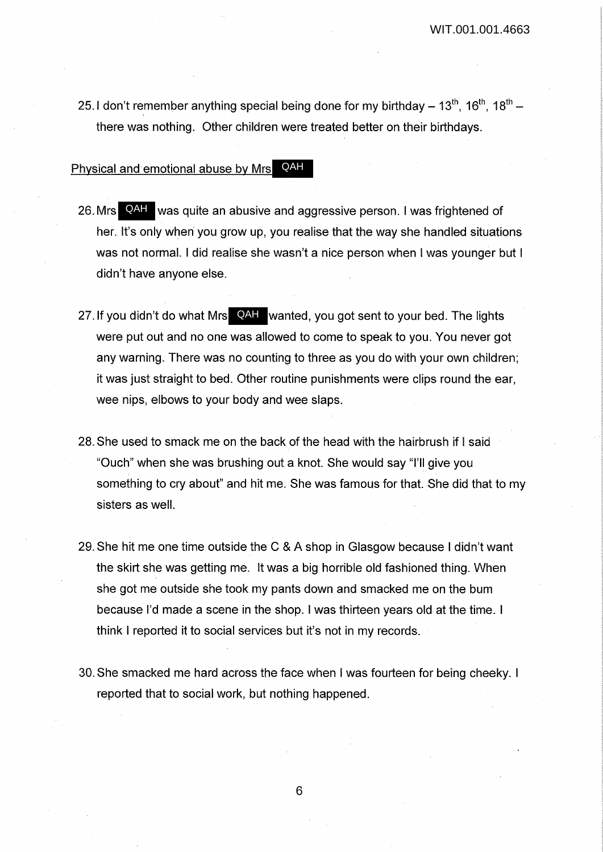25.1 don't remember anything special being done for my birthday  $- 13^{th}$ ,  $16^{th}$ ,  $18^{th}$  -' there was nothing. Other children were treated better on their birthdays.

## Physical and emotional abuse by Mrs QAH

- 26. Mrs QAH was quite an abusive and aggressive person. I was frightened of her. It's only when you grow up, you realise that the way she handled situations was not normal. I did realise she wasn't a nice person when I was younger but I didn't have anyone else.
- 27. If you didn't do what Mrs QAH wanted, you got sent to your bed. The lights were put out and no one was allowed to come to speak to you. You never got any warning. There was no counting to three as you do with your own children; it was just straight to bed. Other routine punishments were clips round the ear, wee nips, elbows to your body and wee slaps.
- 28. She used to smack me on the back of the head with the hairbrush if I said "Ouch" when she was brushing out a knot. She would say "I'll give you something to cry about" and hit me. She was famous for that. She did that to my sisters as well.
- 29. She hit me one time outside the C & A shop in Glasgow because I didn't want the skirt she was getting me. It was a big horrible old fashioned thing. When she got me outside she took my pants down and smacked me on the bum because I'd made a scene in the shop. I was thirteen years old at the time. I think I reported it to social services but it's not in my records.
- 30. She smacked me hard across the face when I was fourteen for being cheeky. I reported that to social work, but nothing happened.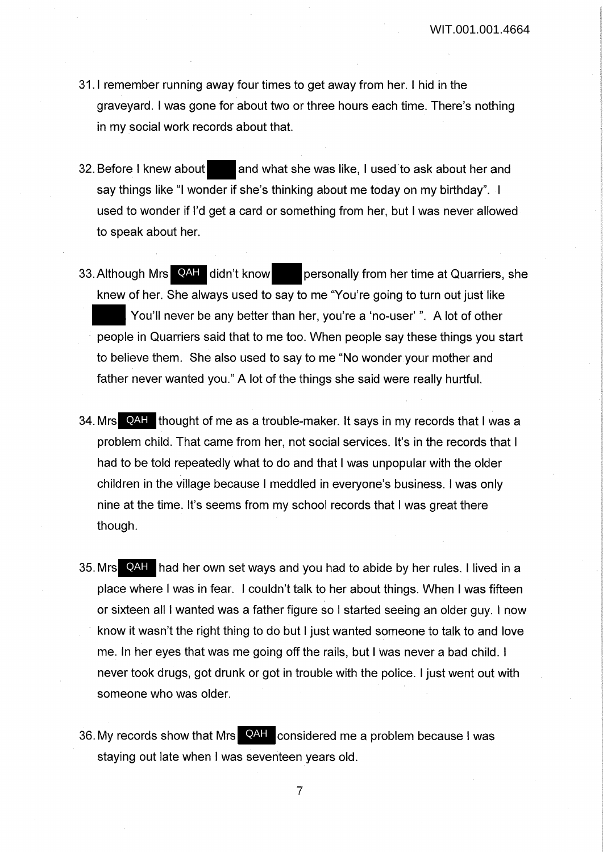- 31.1 remember running away four times to get away from her. I hid in the graveyard. I was gone for about two or three hours each time. There's nothing in my social work records about that.
- 32. Before I knew about and what she was like, I used to ask about her and say things like "I wonder if she's thinking about me today on my birthday". I used to wonder if I'd get a card or something from her, but I was never allowed to speak about her.
- personally from her time at Quarriers, she knew of her. She always used to say to me "You're going to turn out just like You'll never be any better than her, you're a 'no-user'". A lot of other people in Quarriers said that to me too. When people say these things you start to believe them. She also used to say to me "No wonder your mother and father never wanted you." A lot of the things she said were really hurtful. 33. Although Mrs QAH didn't know
- 34. Mrs QAH thought of me as a trouble-maker. It says in my records that I was a problem child. That came from her, not social services. It's in the records that I had to be told repeatedly what to do and that I was unpopular with the older children in the village because I meddled in everyone's business. I was only nine at the time. It's seems from my school records that I was great there though.
- 35. Mrs **QAH** had her own set ways and you had to abide by her rules. I lived in a place where I was in fear. I couldn't talk to her about things. When I was fifteen or sixteen all I wanted was a father figure so I started seeing an older guy. I now know it wasn't the right thing to do but I just wanted someone to talk to and love me. In her eyes that was me going off the rails, but I was never a bad child. I never took drugs, got drunk or got in trouble with the police. I just went out with someone who was older.
- 36. My records show that Mrs **QAH** considered me a problem because I was staying out late when I was seventeen years old.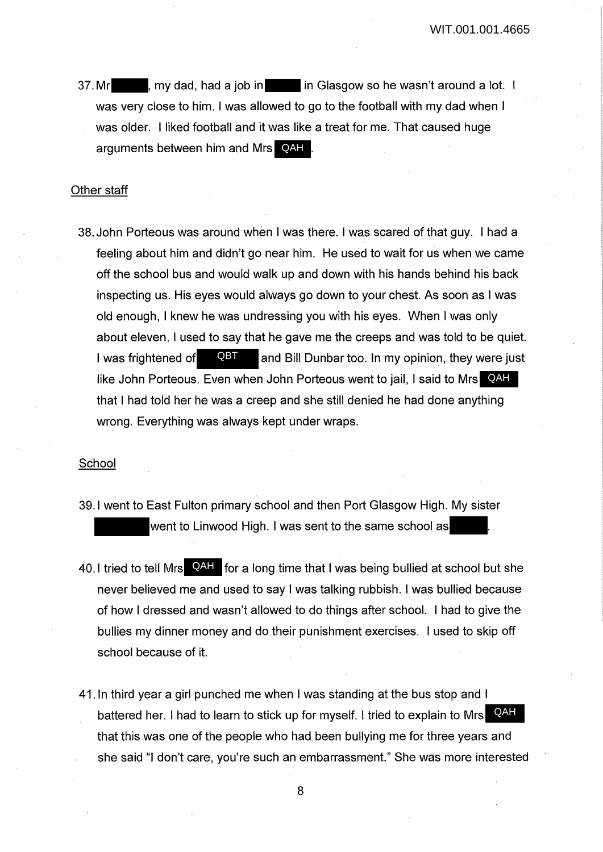37. Mr my dad, had a job in in Glasgow so he wasn't around a lot. I was very close to him. I was allowed to go to the football with my dad when I was older. I liked football and it was like a treat for me. That caused huge arguments between him and Mrs **QAH**.

#### Other staff

38. John Porteous was around when I was there. I was scared of that guy. I had a feeling about him and didn't go near him. He used to wait for us when we came off the school bus and would walk up and down with his hands behind his back inspecting us. His eyes would always go down to your chest. As soon as I was old enough, I knew he was undressing you with his eyes. When I was only about eleven, I used to say that he gave me the creeps and was told to be quiet. I was frightened of  $QBT$  and Bill Dunbar too. In my opinion, they were just like John Porteous. Even when John Porteous went to jail, I said to Mrs QAH that I had told her he was a creep and she still denied he had done anything wrong. Everything was always kept under wraps. QBT<br>

#### School

- 39.1 went to East Fulton primary school and then Port Glasgow High. My sister went to Linwood High. I was sent to the same school as
- 40. I tried to tell Mrs **QAH** for a long time that I was being bullied at school but she never believed me and used to say I was talking rubbish. I was bullied because of how I dressed and wasn't allowed to do things after school. I had to give the bullies my dinner money and do their punishment exercises. I used to skip off school because of it.
- 41. In third year a girl punched me when I was standing at the bus stop and I battered her. I had to learn to stick up for myself. I tried to explain to Mrs**CAH** that this was one of the people who had been bullying me for three years and she said "I don't care, you're such an embarrassment." She was more interested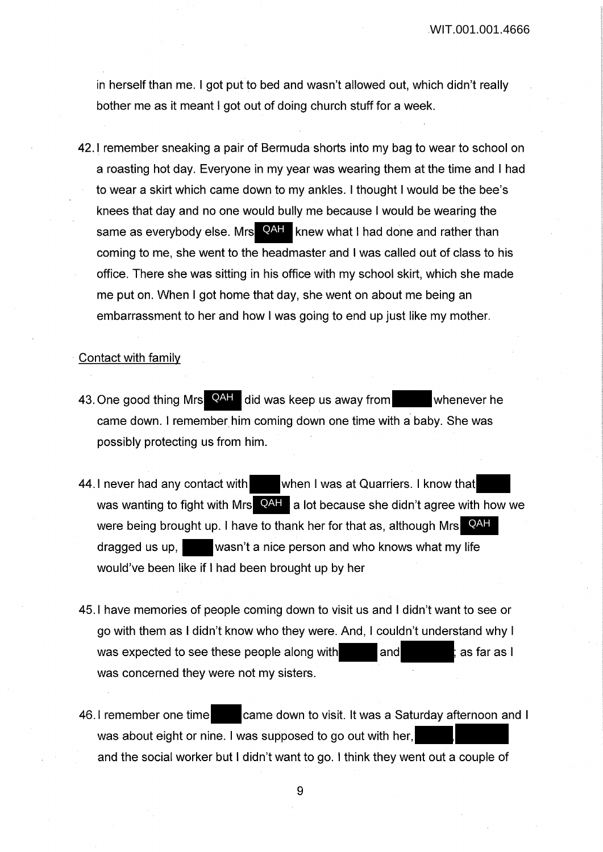in herself than me. I got put to bed and wasn't allowed out, which didn't really bother me as it meant I got out of doing church stuff for a week.

42.1 remember sneaking a pair of Bermuda shorts into my bag to wear to school on a roasting hot day. Everyone in my year was wearing them at the time and I had to wear a skirt which came down to my ankles. I thought I would be the bee's knees that day and no one would bully me because I would be wearing the same as everybody else. Mrs **QAH** knew what I had done and rather than coming to me, she went to the headmaster and I was called out of class to his office. There she was sitting in his office with my school skirt, which she made me put on. When I got home that day, she went on about me being an embarrassment to her and how I was going to end up just like my mother.

#### Contact with family

- 43. One good thing Mrs QAH did was keep us away from whenever he came down. I remember him coming down one time with a baby. She was possibly protecting us from him.
- 44. I never had any contact with when I was at Quarriers. I know that was wanting to fight with Mrs  $\blacksquare$  alot because she didn't agree with how we were being brought up. I have to thank her for that as, although Mrs**CAH** dragged us up, wasn't a nice person and who knows what my life would've been like if I had been brought up by her
- 45.1 have memories of people coming down to visit us and I didn't want to see or go with them as I didn't know who they were. And, I couldn't understand why I was expected to see these people along with and and as far as I was concerned they were not my sisters.
- 46.1 remember one time came down to visit. It was a Saturday afternoon and I was about eight or nine. I was supposed to go out with her, and the social worker but I didn't want to go. I think they went out a couple of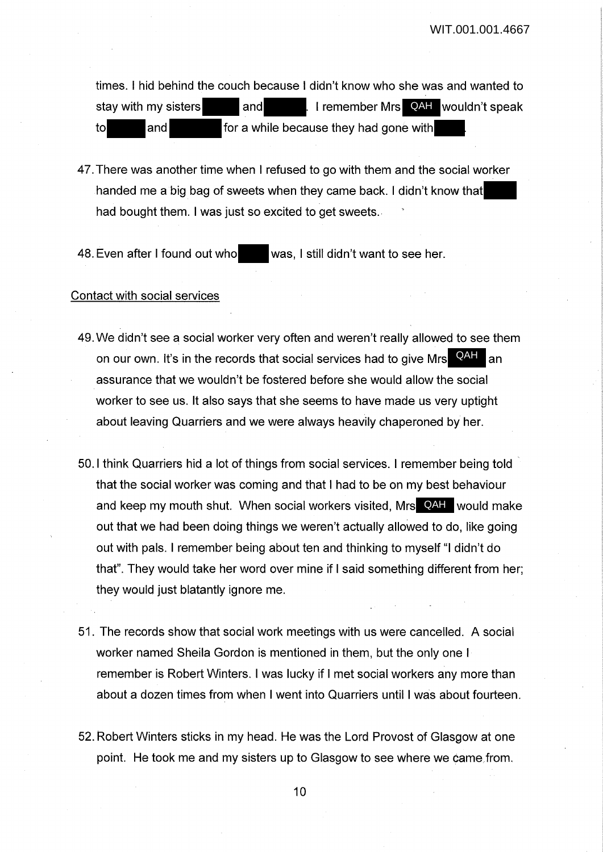times. I hid behind the couch because I didn't know who she was and wanted to stay with my sisters and I remember Mrs QAH wouldn't speak to and for a while because they had gone with

47. There was another time when I refused to go with them and the social worker handed me a big bag of sweets when they came back. I didn't know that had bought them. I was just so excited to get sweets.

48. Even after I found out who was, I still didn't want to see her.

#### Contact with social services

- 49. We didn't see a social worker very often and weren't really allowed to see them on our own. It's in the records that social services had to give Mrs. QAH an assurance that we wouldn't be fostered before she would allow the social worker to see us. It also says that she seems to have made us very uptight about leaving Quarriers and we were always heavily chaperoned by her.
- 50.1 think Quarriers hid a lot of things from social services. I remember being told · that the social worker was coming and that I had to be on my best behaviour and keep my mouth shut. When social workers visited, Mrs QAH would make out that we had been doing things we weren't actually allowed to do, like going out with pals. I remember being about ten and thinking to myself "I didn't do that". They would take her word over mine if I said something different from her; they would just blatantly ignore me.
- 51. The records show that social work meetings with us were cancelled. A social worker named Sheila Gordon is mentioned in them, but the only one I remember is Robert Winters. I was lucky if I met social workers any more than about a dozen times from when I went into Quarriers until I was about fourteen.
- 52. Robert Winters sticks in my head. He was the Lord Provost of Glasgow at one point. He took me and my sisters up to Glasgow to see where we came from.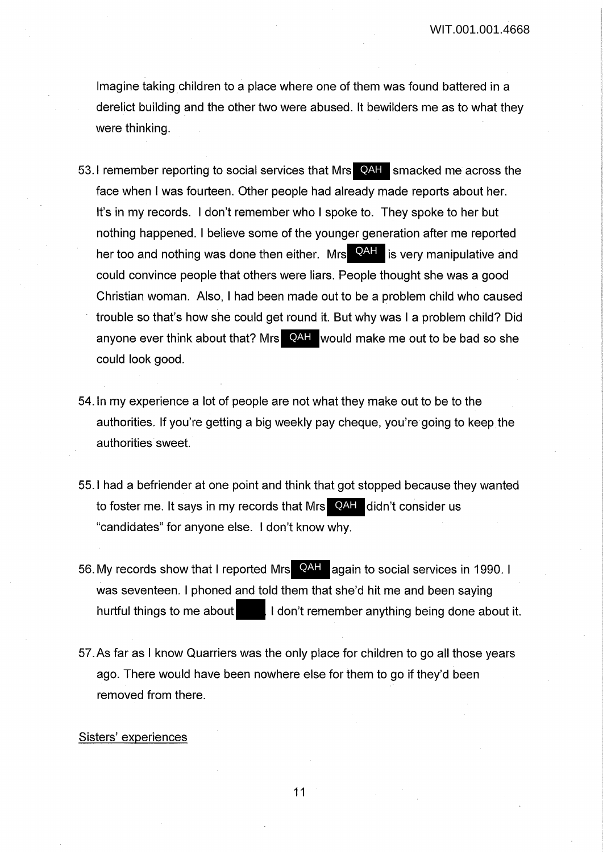Imagine taking children to a place where one of them was found battered in a derelict building and the other two were abused. It bewilders me as to what they were thinking.

- 53.I remember reporting to social services that Mrs **QAH** smacked me across the face when I was fourteen. Other people had already made reports about her. It's in my records. I don't remember who I spoke to. They spoke to her but nothing happened. I believe some of the younger generation after me reported her too and nothing was done then either. Mrs **QAH** is very manipulative and could convince people that others were liars. People thought she was a good Christian woman. Also, I had been made out to be a problem child who caused trouble so that's how she could get round it. But why was I a problem child? Did anyone ever think about that? Mrs **QAH** would make me out to be bad so she could look good.
- 54. In my experience a lot of people are not what they make out to be to the authorities. If you're getting a big weekly pay cheque, you're going to keep the authorities sweet.
- 55.1 had a befriender at one point and think that got stopped because they wanted to foster me. It says in my records that Mrs **QAH** didn't consider us "candidates" for anyone else. I don't know why.
- 56. My records show that I reported Mrs **QAH** again to social services in 1990. I was seventeen. I phoned and told them that she'd hit me and been saying hurtful things to me about **I don't remember anything being done about it.**
- 57.As far as I know Quarriers was the only place for children to go all those years ago. There would have been nowhere else for them to go if they'd been removed from there.

## Sisters' experiences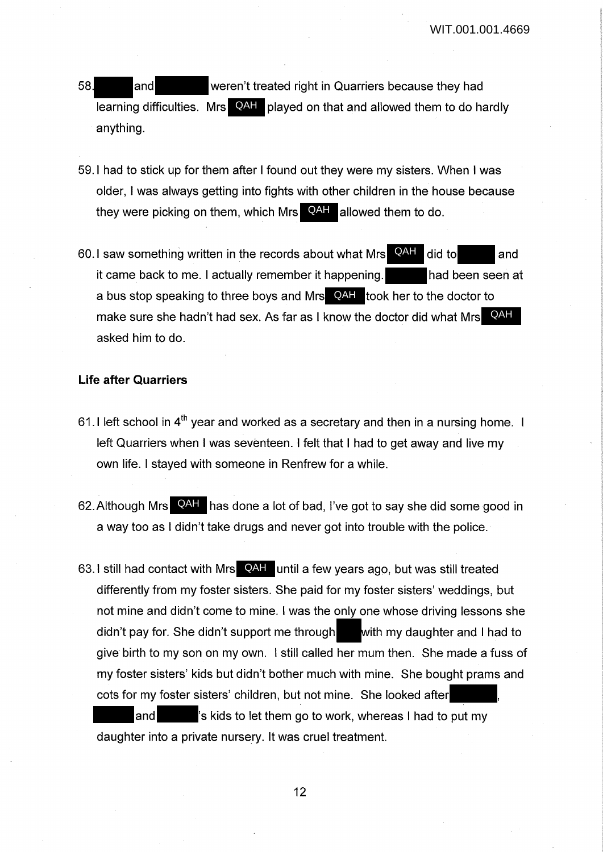- 58 and weren't treated right in Quarriers because they had learning difficulties. Mrs **QAH** played on that and allowed them to do hardly anything.
- 59.1 had to stick up for them after I found out they were my sisters. When I was older, I was always getting into fights with other children in the house because they were picking on them, which Mrs **QAH** allowed them to do.
- 60.1 saw something written in the records about what Mrs  $\overline{QAH}$  did to and it came back to me. I actually remember it happening. **had been seen at** a bus stop speaking to three boys and Mrs **QAH** took her to the doctor to make sure she hadn't had sex. As far as I know the doctor did what Mrs**CAH** asked him to do. QAH

## **Life after Quarriers**

- 61.1 left school in  $4<sup>th</sup>$  year and worked as a secretary and then in a nursing home. I left Quarriers when I was seventeen. I felt that I had to get away and live my own life. I stayed with someone in Renfrew for a while.
- 62. Although Mrs **QAH** has done a lot of bad, I've got to say she did some good in a way too as I didn't take drugs and never got into trouble with the police.
- 63. I still had contact with Mrs QAH until a few years ago, but was still treated differently from my foster sisters. She paid for my foster sisters' weddings, but not mine and didn't come to mine. I was the only one whose driving lessons she didn't pay for. She didn't support me through with my daughter and I had to give birth to my son on my own. I still called her mum then. She made a fuss of my foster sisters' kids but didn't bother much with mine. She bought prams and cots for my foster sisters' children, but not mine. She looked after and  $\blacksquare$  's kids to let them go to work, whereas I had to put my daughter into a private nursery. It was cruel treatment.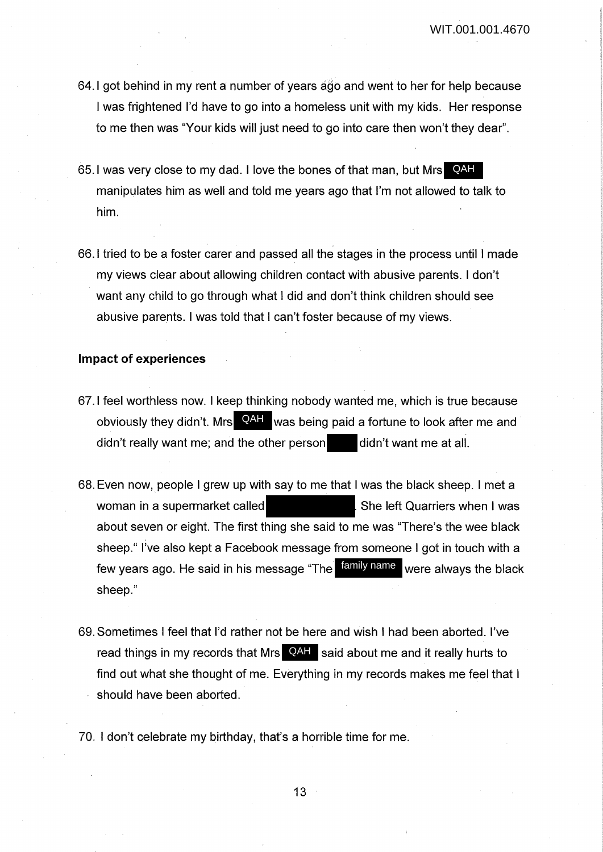- 64.1 got behind in my rent a number of years ago and went to her for help because I was frightened I'd have to go into a homeless unit with my kids. Her response to me then was "Your kids will just need to go into care then won't they dear".
- 65.I was very close to my dad. I love the bones of that man, but Mrs**C**AH manipulates him as well and told me years ago that I'm not allowed to talk to him.
- 66.1 tried to be a foster carer and passed all the stages in the process until I made my views clear about allowing children contact with abusive parents. I don't want any child to go through what I did and don't think children should see abusive parents. I was told that I can't foster because of my views.

### **Impact of experiences**

- 67.1 feel worthless now. I keep thinking nobody wanted me, which is true because obviously they didn't. Mrs **QAH** was being paid a fortune to look after me and didn't really want me; and the other person didn't want me at all.
- 68. Even now, people I grew up with say to me that I was the black sheep. I met a woman in a supermarket called Sheleft Quarriers when I was about seven or eight. The first thing she said to me was "There's the wee black sheep." I've also kept a Facebook message from someone I got in touch with a few years ago. He said in his message "The <sup>family name</sup> were always the black sheep."
- 69. Sometimes I feel that I'd rather not be here and wish I had been aborted. I've read things in my records that Mrs **QAH** said about me and it really hurts to find out what she thought of me. Everything in my records makes me feel that I should have been aborted.
- 70. I don't celebrate my birthday, that's a horrible time for me.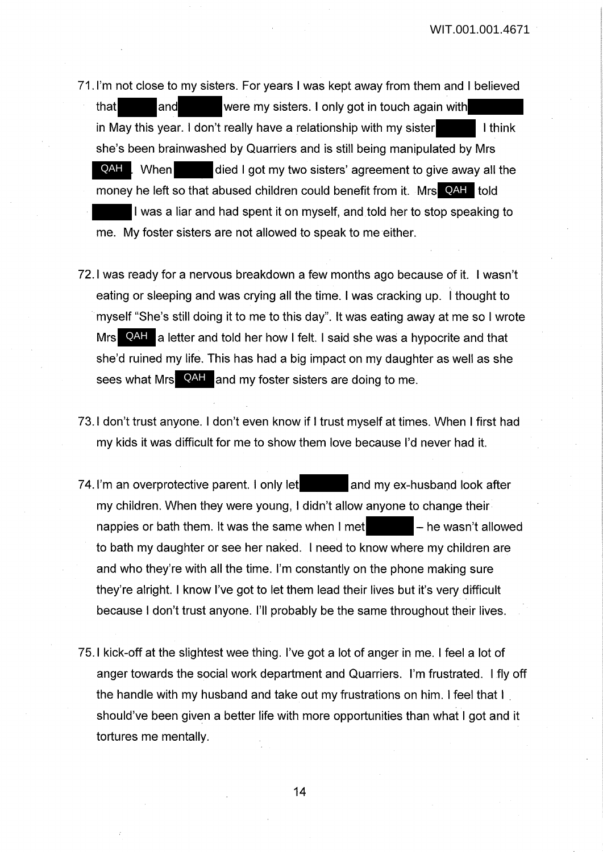- 71. I'm not close to my sisters. For years I was kept away from them and I believed that and were my sisters. I only got in touch again with in May this year. I don't really have a relationship with my sister  $\blacksquare$  I think she's been brainwashed by Quarriers and is still being manipulated by Mrs died I got my two sisters' agreement to give away all the money he left so that abused children could benefit from it. Mrs QAH told I was a liar and had spent it on myself, and told her to stop speaking to me. My foster sisters are not allowed to speak to me either. QAH When
- 72.1 was ready for a nervous breakdown a few months ago because of it. I wasn't eating or sleeping and was crying all the time. I was cracking up. I thought to in myself "She's still doing it to me to this day". It was eating away at me so I wrote Mrs **QAH** a letter and told her how I felt. I said she was a hypocrite and that she'd ruined my life. This has had a big impact on my daughter as well as she sees what Mrs<sup>1</sup> QAH and my foster sisters are doing to me.
- 73.1 don't trust anyone. I don't even know if I trust myself at times. When I first had my kids it was difficult for me to show them love because I'd never had it.
- 74. I'm an overprotective parent. I only let and my ex-husband look after my children. When they were young, I didn't allow anyone to change their nappies or bath them. It was the same when  $\mathsf{I}$  met  $\blacksquare$  - he wasn't allowed to bath my daughter or see her naked. I need to know where my children are and who they're with all the time. I'm constantly on the phone making sure they're alright. I know I've got to let them lead their lives but it's very difficult because I don't trust anyone. I'll probably be the same throughout their lives.
- 75.1 kick-off at the slightest wee thing. I've got a lot of anger in me. I feel a lot of anger towards the social work department and Quarriers. I'm frustrated. I fly off the handle with my husband and take out my frustrations on him. I feel that I . should've been given a better life with more opportunities than what I got and it tortures me mentally.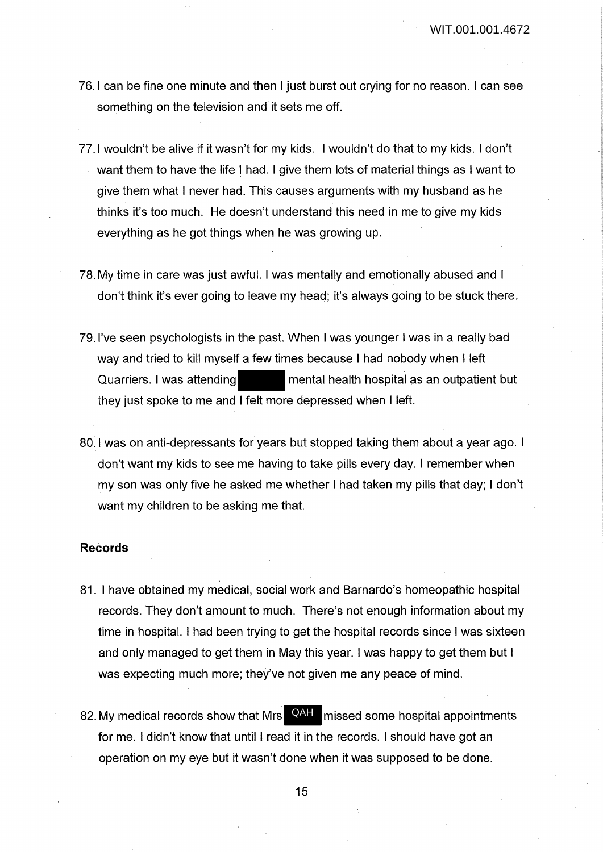- 76.1 can be fine one minute and then I just burst out crying for no reason. I can see something on the television and it sets me off.
- 77. I wouldn't be alive if it wasn't for my kids. I wouldn't do that to my kids. I don't want them to have the life I had. I give them lots of material things as I want to give them what I never had. This causes arguments with my husband as he thinks it's too much. He doesn't understand this need in me to give my kids everything as he got things when he was growing up.
- 78. My time in care was just awful. I was mentally and emotionally abused and I don't think it's ever going to leave my head; it's always going to be stuck there.
- 79. I've seen psychologists in the past. When I was younger I was in a really bad way and tried to kill myself a few times because I had nobody when I left Quarriers. I was attending mental health hospital as an outpatient but they just spoke to me and I felt more depressed when I left.
- 80.1 was on anti-depressants for years but stopped taking them about a year ago. I don't want my kids to see me having to take pills every day. I remember when my son was only five he asked me whether I had taken my pills that day; I don't want my children to be asking me that.

### **Records**

- 81. I have obtained my medical, social work and Barnardo's homeopathic hospital records. They don't amount to much. There's not enough information about my time in hospital. I had been trying to get the hospital records since I was sixteen and only managed to get them in May this year. I was happy to get them but I was expecting much more; they've not given me any peace of mind.
- 82. My medical records show that Mrs QAH missed some hospital appointments for me. I didn't know that until I read it in the records. I should have got an operation on my eye but it wasn't done when it was supposed to be done.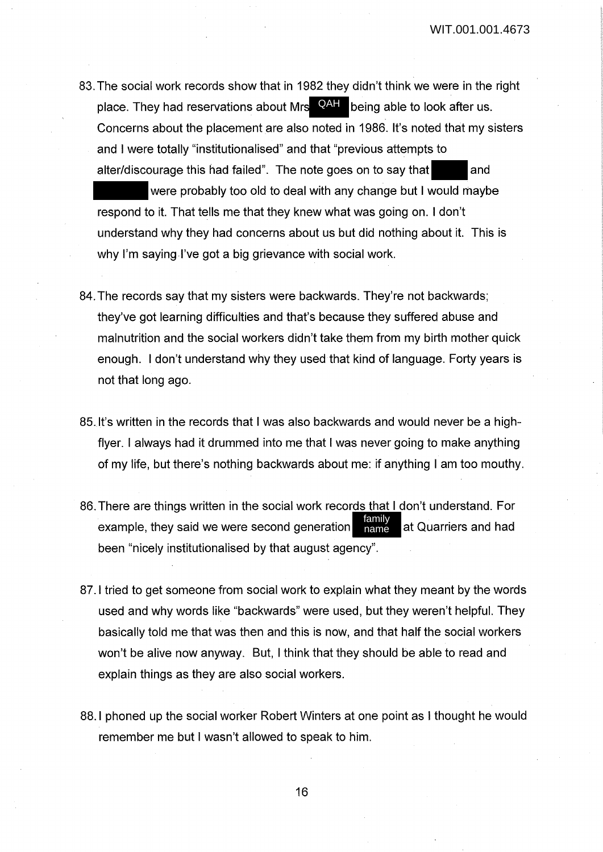83. The social work records show that in 1982 they didn't think we were in the right place. They had reservations about Mrs <sup>QAH</sup> being able to look after us. Concerns about the placement are also noted in 1986. It's noted that my sisters and I were totally "institutionalised" and that "previous attempts to alter/discourage this had failed". The note goes on to say that and

were probably too old to deal with any change but I would maybe respond to it. That tells me that they knew what was going on. I don't understand why they had concerns about us but did nothing about it. This is why I'm saying I've got a big grievance with social work.

- 84. The records say that my sisters were backwards. They're not backwards; they've got learning difficulties and that's because they suffered abuse and malnutrition and the social workers didn't take them from my birth mother quick enough. I don't understand why they used that kind of language. Forty years is not that long ago.
- 85. It's written in the records that I was also backwards and would never be a highflyer. I always had it drummed into me that I was never going to make anything of my life, but there's nothing backwards about me: if anything I am too mouthy.
- 86. There are things written in the social work records that I don't understand. For example, they said we were second generation  $\frac{1}{n}$  at Quarriers and had been "nicely institutionalised by that august agency". family name
- 87. I tried to get someone from social work to explain what they meant by the words used and why words like "backwards" were used, but they weren't helpful. They basically told me that was then and this is now, and that half the social workers won't be alive now anyway. But, I think that they should be able to read and explain things as they are also social workers.
- 88.1 phoned up the social worker Robert Winters at one point as I thought he would remember me but I wasn't allowed to speak to him.